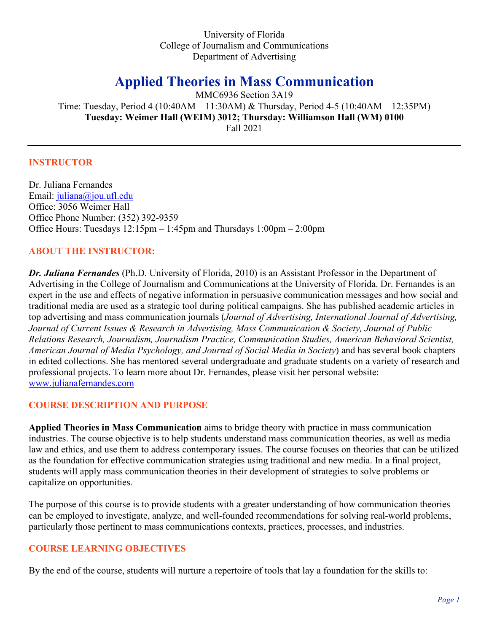University of Florida College of Journalism and Communications Department of Advertising

# **Applied Theories in Mass Communication**

MMC6936 Section 3A19 Time: Tuesday, Period 4 (10:40AM – 11:30AM) & Thursday, Period 4-5 (10:40AM – 12:35PM) **Tuesday: Weimer Hall (WEIM) 3012; Thursday: Williamson Hall (WM) 0100** Fall 2021

### **INSTRUCTOR**

Dr. Juliana Fernandes Email: [juliana@jou.ufl.edu](mailto:juliana@jou.ufl.edu) Office: 3056 Weimer Hall Office Phone Number: (352) 392-9359 Office Hours: Tuesdays 12:15pm – 1:45pm and Thursdays 1:00pm – 2:00pm

#### **ABOUT THE INSTRUCTOR:**

*Dr. Juliana Fernandes* (Ph.D. University of Florida, 2010) is an Assistant Professor in the Department of Advertising in the College of Journalism and Communications at the University of Florida. Dr. Fernandes is an expert in the use and effects of negative information in persuasive communication messages and how social and traditional media are used as a strategic tool during political campaigns. She has published academic articles in top advertising and mass communication journals (*Journal of Advertising, International Journal of Advertising, Journal of Current Issues & Research in Advertising, Mass Communication & Society, Journal of Public Relations Research, Journalism, Journalism Practice, Communication Studies, American Behavioral Scientist, American Journal of Media Psychology, and Journal of Social Media in Society*) and has several book chapters in edited collections. She has mentored several undergraduate and graduate students on a variety of research and professional projects. To learn more about Dr. Fernandes, please visit her personal website: [www.julianafernandes.com](http://www.julianafernandes.com/) 

### **COURSE DESCRIPTION AND PURPOSE**

**Applied Theories in Mass Communication** aims to bridge theory with practice in mass communication industries. The course objective is to help students understand mass communication theories, as well as media law and ethics, and use them to address contemporary issues. The course focuses on theories that can be utilized as the foundation for effective communication strategies using traditional and new media. In a final project, students will apply mass communication theories in their development of strategies to solve problems or capitalize on opportunities.

The purpose of this course is to provide students with a greater understanding of how communication theories can be employed to investigate, analyze, and well-founded recommendations for solving real-world problems, particularly those pertinent to mass communications contexts, practices, processes, and industries.

#### **COURSE LEARNING OBJECTIVES**

By the end of the course, students will nurture a repertoire of tools that lay a foundation for the skills to: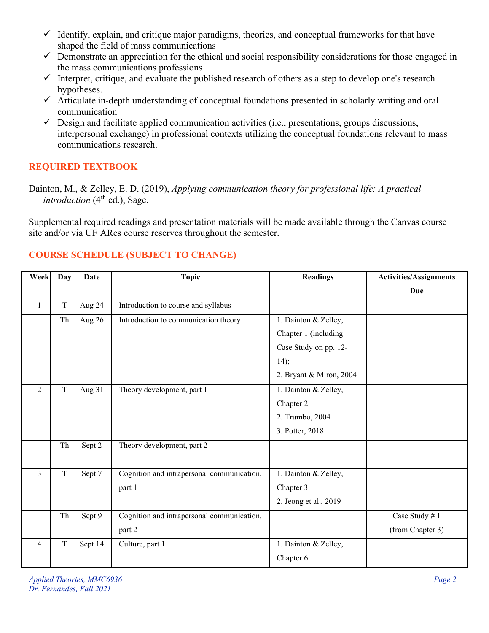- $\checkmark$  Identify, explain, and critique major paradigms, theories, and conceptual frameworks for that have shaped the field of mass communications
- $\checkmark$  Demonstrate an appreciation for the ethical and social responsibility considerations for those engaged in the mass communications professions
- $\checkmark$  Interpret, critique, and evaluate the published research of others as a step to develop one's research hypotheses.
- $\checkmark$  Articulate in-depth understanding of conceptual foundations presented in scholarly writing and oral communication
- $\checkmark$  Design and facilitate applied communication activities (i.e., presentations, groups discussions, interpersonal exchange) in professional contexts utilizing the conceptual foundations relevant to mass communications research.

# **REQUIRED TEXTBOOK**

Dainton, M., & Zelley, E. D. (2019), *Applying communication theory for professional life: A practical introduction*  $(4<sup>th</sup>$  ed.), Sage.

Supplemental required readings and presentation materials will be made available through the Canvas course site and/or via UF ARes course reserves throughout the semester.

| Week           | Day         | <b>Date</b> | <b>Topic</b>                               | <b>Readings</b>         | <b>Activities/Assignments</b> |
|----------------|-------------|-------------|--------------------------------------------|-------------------------|-------------------------------|
|                |             |             |                                            |                         | Due                           |
| $\mathbf{1}$   | T           | Aug 24      | Introduction to course and syllabus        |                         |                               |
|                | Th          | Aug 26      | Introduction to communication theory       | 1. Dainton & Zelley,    |                               |
|                |             |             |                                            | Chapter 1 (including    |                               |
|                |             |             |                                            | Case Study on pp. 12-   |                               |
|                |             |             |                                            | 14);                    |                               |
|                |             |             |                                            | 2. Bryant & Miron, 2004 |                               |
| $\overline{2}$ | T           | Aug 31      | Theory development, part 1                 | 1. Dainton & Zelley,    |                               |
|                |             |             |                                            | Chapter 2               |                               |
|                |             |             |                                            | 2. Trumbo, 2004         |                               |
|                |             |             |                                            | 3. Potter, 2018         |                               |
|                | Th          | Sept 2      | Theory development, part 2                 |                         |                               |
|                |             |             |                                            |                         |                               |
| $\overline{3}$ | $\mathbf T$ | Sept 7      | Cognition and intrapersonal communication, | 1. Dainton & Zelley,    |                               |
|                |             |             | part 1                                     | Chapter 3               |                               |
|                |             |             |                                            | 2. Jeong et al., 2019   |                               |
|                | Th          | Sept 9      | Cognition and intrapersonal communication, |                         | Case Study #1                 |
|                |             |             | part 2                                     |                         | (from Chapter 3)              |
| 4              | T           | Sept 14     | Culture, part 1                            | 1. Dainton & Zelley,    |                               |
|                |             |             |                                            | Chapter 6               |                               |

# **COURSE SCHEDULE (SUBJECT TO CHANGE)**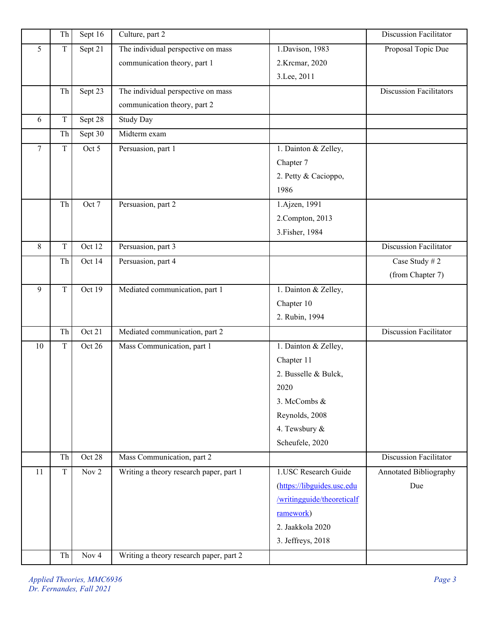|                | Th          | Sept 16              | Culture, part 2                         |                            | <b>Discussion Facilitator</b>  |
|----------------|-------------|----------------------|-----------------------------------------|----------------------------|--------------------------------|
| 5              | $\mathbf T$ | Sept $2\overline{1}$ | The individual perspective on mass      | 1.Davison, 1983            | Proposal Topic Due             |
|                |             |                      | communication theory, part 1            | 2.Krcmar, 2020             |                                |
|                |             |                      |                                         | 3.Lee, 2011                |                                |
|                | Th          | Sept $23$            | The individual perspective on mass      |                            | <b>Discussion Facilitators</b> |
|                |             |                      | communication theory, part 2            |                            |                                |
| 6              | $\rm T$     | Sept 28              | Study Day                               |                            |                                |
|                | Th          | Sept 30              | Midterm exam                            |                            |                                |
| $\overline{7}$ | T           | Oct 5                | Persuasion, part 1                      | 1. Dainton & Zelley,       |                                |
|                |             |                      |                                         | Chapter 7                  |                                |
|                |             |                      |                                         | 2. Petty & Cacioppo,       |                                |
|                |             |                      |                                         | 1986                       |                                |
|                | Th          | Oct 7                | Persuasion, part 2                      | 1.Ajzen, 1991              |                                |
|                |             |                      |                                         | 2. Compton, 2013           |                                |
|                |             |                      |                                         | 3. Fisher, 1984            |                                |
| 8              | $\rm T$     | Oct 12               | Persuasion, part 3                      |                            | <b>Discussion Facilitator</b>  |
|                | Th          | Oct 14               | Persuasion, part 4                      |                            | Case Study #2                  |
|                |             |                      |                                         |                            | (from Chapter 7)               |
| 9              | $\rm T$     | Oct 19               | Mediated communication, part 1          | 1. Dainton & Zelley,       |                                |
|                |             |                      |                                         | Chapter 10                 |                                |
|                |             |                      |                                         | 2. Rubin, 1994             |                                |
|                | Th          | Oct 21               | Mediated communication, part 2          |                            | <b>Discussion Facilitator</b>  |
| 10             | $\mathbf T$ | Oct 26               | Mass Communication, part 1              | 1. Dainton & Zelley,       |                                |
|                |             |                      |                                         | Chapter 11                 |                                |
|                |             |                      |                                         | 2. Busselle & Bulck,       |                                |
|                |             |                      |                                         | 2020                       |                                |
|                |             |                      |                                         | 3. McCombs &               |                                |
|                |             |                      |                                         | Reynolds, 2008             |                                |
|                |             |                      |                                         | 4. Tewsbury &              |                                |
|                |             |                      |                                         | Scheufele, 2020            |                                |
|                | Th          | Oct 28               | Mass Communication, part 2              |                            | <b>Discussion Facilitator</b>  |
| 11             | $\mathbf T$ | Nov $2$              | Writing a theory research paper, part 1 | 1.USC Research Guide       | Annotated Bibliography         |
|                |             |                      |                                         | (https://libguides.usc.edu | Due                            |
|                |             |                      |                                         | /writingguide/theoreticalf |                                |
|                |             |                      |                                         | ramework)                  |                                |
|                |             |                      |                                         | 2. Jaakkola 2020           |                                |
|                |             |                      |                                         | 3. Jeffreys, 2018          |                                |
|                | Th          | Nov 4                | Writing a theory research paper, part 2 |                            |                                |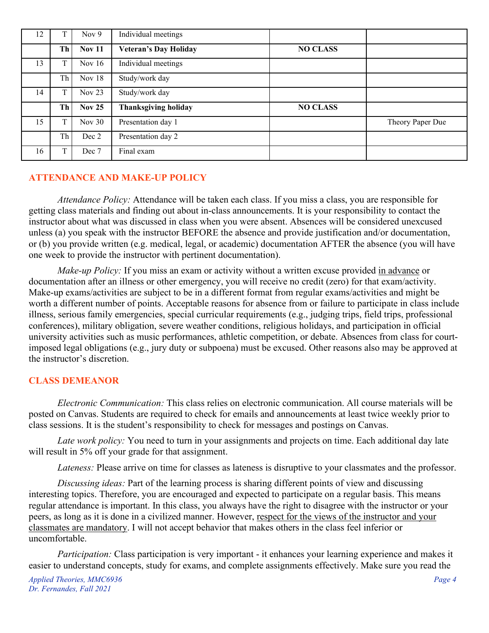| 12 | T  | Nov $9$       | Individual meetings         |                 |                  |  |
|----|----|---------------|-----------------------------|-----------------|------------------|--|
|    | Th | <b>Nov 11</b> | Veteran's Day Holiday       | <b>NO CLASS</b> |                  |  |
| 13 | T  | Nov $16$      | Individual meetings         |                 |                  |  |
|    | Th | Nov 18        | Study/work day              |                 |                  |  |
| 14 | T  | Nov 23        | Study/work day              |                 |                  |  |
|    | Th | <b>Nov 25</b> | <b>Thanksgiving holiday</b> | <b>NO CLASS</b> |                  |  |
| 15 | T  | Nov 30        | Presentation day 1          |                 | Theory Paper Due |  |
|    | Th | Dec 2         | Presentation day 2          |                 |                  |  |
| 16 | T  | Dec 7         | Final exam                  |                 |                  |  |

## **ATTENDANCE AND MAKE-UP POLICY**

*Attendance Policy:* Attendance will be taken each class. If you miss a class, you are responsible for getting class materials and finding out about in-class announcements. It is your responsibility to contact the instructor about what was discussed in class when you were absent. Absences will be considered unexcused unless (a) you speak with the instructor BEFORE the absence and provide justification and/or documentation, or (b) you provide written (e.g. medical, legal, or academic) documentation AFTER the absence (you will have one week to provide the instructor with pertinent documentation).

*Make-up Policy:* If you miss an exam or activity without a written excuse provided in advance or documentation after an illness or other emergency, you will receive no credit (zero) for that exam/activity. Make-up exams/activities are subject to be in a different format from regular exams/activities and might be worth a different number of points. Acceptable reasons for absence from or failure to participate in class include illness, serious family emergencies, special curricular requirements (e.g., judging trips, field trips, professional conferences), military obligation, severe weather conditions, religious holidays, and participation in official university activities such as music performances, athletic competition, or debate. Absences from class for courtimposed legal obligations (e.g., jury duty or subpoena) must be excused. Other reasons also may be approved at the instructor's discretion.

### **CLASS DEMEANOR**

*Electronic Communication:* This class relies on electronic communication. All course materials will be posted on Canvas. Students are required to check for emails and announcements at least twice weekly prior to class sessions. It is the student's responsibility to check for messages and postings on Canvas.

*Late work policy:* You need to turn in your assignments and projects on time. Each additional day late will result in 5% off your grade for that assignment.

*Lateness:* Please arrive on time for classes as lateness is disruptive to your classmates and the professor.

*Discussing ideas:* Part of the learning process is sharing different points of view and discussing interesting topics. Therefore, you are encouraged and expected to participate on a regular basis. This means regular attendance is important. In this class, you always have the right to disagree with the instructor or your peers, as long as it is done in a civilized manner. However, respect for the views of the instructor and your classmates are mandatory. I will not accept behavior that makes others in the class feel inferior or uncomfortable.

*Participation:* Class participation is very important - it enhances your learning experience and makes it easier to understand concepts, study for exams, and complete assignments effectively. Make sure you read the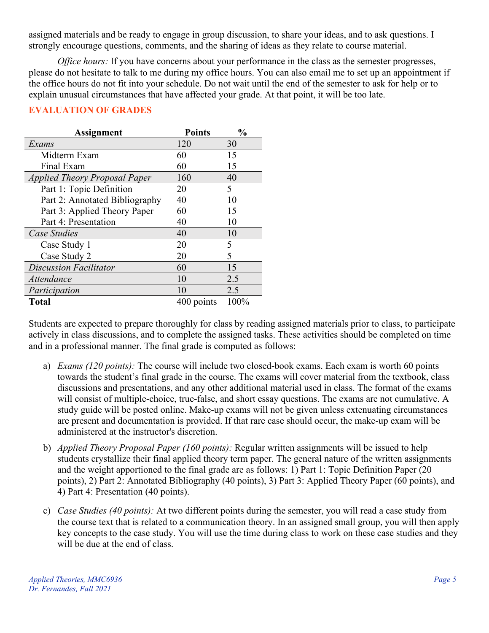assigned materials and be ready to engage in group discussion, to share your ideas, and to ask questions. I strongly encourage questions, comments, and the sharing of ideas as they relate to course material.

*Office hours:* If you have concerns about your performance in the class as the semester progresses, please do not hesitate to talk to me during my office hours. You can also email me to set up an appointment if the office hours do not fit into your schedule. Do not wait until the end of the semester to ask for help or to explain unusual circumstances that have affected your grade. At that point, it will be too late.

## **EVALUATION OF GRADES**

| Assignment                     | <b>Points</b> | $\frac{0}{0}$ |
|--------------------------------|---------------|---------------|
| Exams                          | 120           | 30            |
| Midterm Exam                   | 60            | 15            |
| Final Exam                     | 60            | 15            |
| Applied Theory Proposal Paper  | 160           | 40            |
| Part 1: Topic Definition       | 20            | 5             |
| Part 2: Annotated Bibliography | 40            | 10            |
| Part 3: Applied Theory Paper   | 60            | 15            |
| Part 4: Presentation           | 40            | 10            |
| Case Studies                   | 40            | 10            |
| Case Study 1                   | 20            | 5             |
| Case Study 2                   | 20            | 5             |
| <b>Discussion Facilitator</b>  | 60            | 15            |
| Attendance                     | 10            | 2.5           |
| Participation                  | 10            | 2.5           |
| <b>Total</b>                   | 400 points    | 100%          |

Students are expected to prepare thoroughly for class by reading assigned materials prior to class, to participate actively in class discussions, and to complete the assigned tasks. These activities should be completed on time and in a professional manner. The final grade is computed as follows:

- a) *Exams (120 points):* The course will include two closed-book exams. Each exam is worth 60 points towards the student's final grade in the course. The exams will cover material from the textbook, class discussions and presentations, and any other additional material used in class. The format of the exams will consist of multiple-choice, true-false, and short essay questions. The exams are not cumulative. A study guide will be posted online. Make-up exams will not be given unless extenuating circumstances are present and documentation is provided. If that rare case should occur, the make-up exam will be administered at the instructor's discretion.
- b) *Applied Theory Proposal Paper (160 points):* Regular written assignments will be issued to help students crystallize their final applied theory term paper. The general nature of the written assignments and the weight apportioned to the final grade are as follows: 1) Part 1: Topic Definition Paper (20 points), 2) Part 2: Annotated Bibliography (40 points), 3) Part 3: Applied Theory Paper (60 points), and 4) Part 4: Presentation (40 points).
- c) *Case Studies (40 points):* At two different points during the semester, you will read a case study from the course text that is related to a communication theory. In an assigned small group, you will then apply key concepts to the case study. You will use the time during class to work on these case studies and they will be due at the end of class.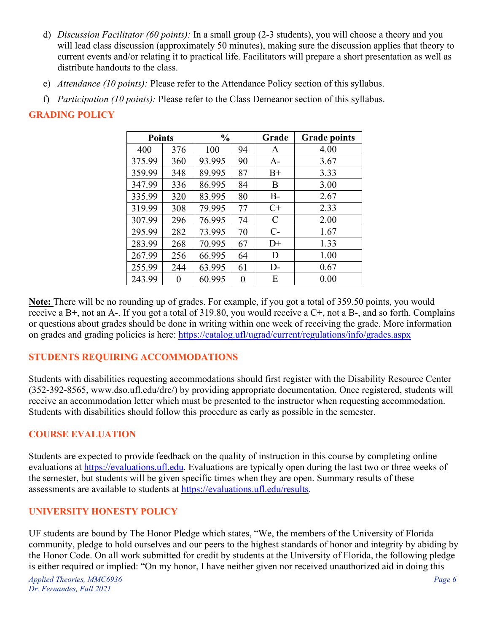- d) *Discussion Facilitator (60 points):* In a small group (2-3 students), you will choose a theory and you will lead class discussion (approximately 50 minutes), making sure the discussion applies that theory to current events and/or relating it to practical life. Facilitators will prepare a short presentation as well as distribute handouts to the class.
- e) *Attendance (10 points):* Please refer to the Attendance Policy section of this syllabus.
- f) *Participation (10 points):* Please refer to the Class Demeanor section of this syllabus.

# **GRADING POLICY**

| <b>Points</b> |          | $\frac{0}{0}$ |    | Grade | <b>Grade points</b> |
|---------------|----------|---------------|----|-------|---------------------|
| 400           | 376      | 100           | 94 | A     | 4.00                |
| 375.99        | 360      | 93.995        | 90 | $A-$  | 3.67                |
| 359.99        | 348      | 89.995        | 87 | $B+$  | 3.33                |
| 347.99        | 336      | 86.995        | 84 | B     | 3.00                |
| 335.99        | 320      | 83.995        | 80 | $B -$ | 2.67                |
| 319.99        | 308      | 79.995        | 77 | $C+$  | 2.33                |
| 307.99        | 296      | 76.995        | 74 | C     | 2.00                |
| 295.99        | 282      | 73.995        | 70 | $C-$  | 1.67                |
| 283.99        | 268      | 70.995        | 67 | $D+$  | 1.33                |
| 267.99        | 256      | 66.995        | 64 | D     | 1.00                |
| 255.99        | 244      | 63.995        | 61 | $D-$  | 0.67                |
| 243.99        | $\theta$ | 60.995        | 0  | Е     | 0.00                |

**Note:** There will be no rounding up of grades. For example, if you got a total of 359.50 points, you would receive a B+, not an A-. If you got a total of 319.80, you would receive a C+, not a B-, and so forth. Complains or questions about grades should be done in writing within one week of receiving the grade. More information on grades and grading policies is here: <https://catalog.ufl/ugrad/current/regulations/info/grades.aspx>

### **STUDENTS REQUIRING ACCOMMODATIONS**

Students with disabilities requesting accommodations should first register with the Disability Resource Center (352-392-8565, www.dso.ufl.edu/drc/) by providing appropriate documentation. Once registered, students will receive an accommodation letter which must be presented to the instructor when requesting accommodation. Students with disabilities should follow this procedure as early as possible in the semester.

### **COURSE EVALUATION**

Students are expected to provide feedback on the quality of instruction in this course by completing online evaluations at [https://evaluations.ufl.edu.](https://evaluations.ufl.edu/) Evaluations are typically open during the last two or three weeks of the semester, but students will be given specific times when they are open. Summary results of these assessments are available to students at [https://evaluations.ufl.edu/results.](https://evaluations.ufl.edu/results)

### **UNIVERSITY HONESTY POLICY**

UF students are bound by The Honor Pledge which states, "We, the members of the University of Florida community, pledge to hold ourselves and our peers to the highest standards of honor and integrity by abiding by the Honor Code. On all work submitted for credit by students at the University of Florida, the following pledge is either required or implied: "On my honor, I have neither given nor received unauthorized aid in doing this

*Applied Theories, MMC6936 Page 6 Dr. Fernandes, Fall 2021*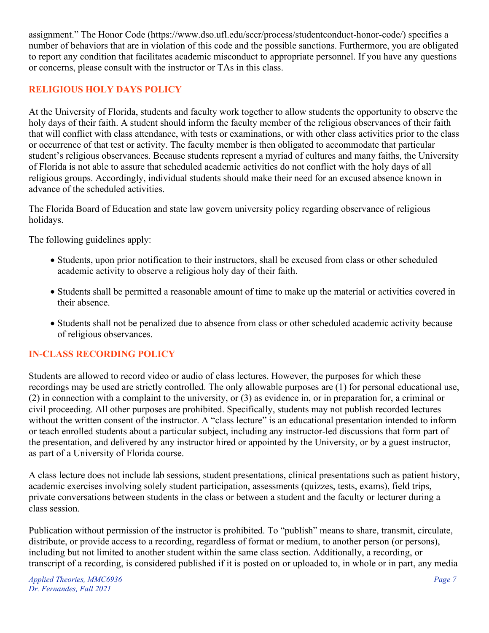assignment." The Honor Code (https://www.dso.ufl.edu/sccr/process/studentconduct-honor-code/) specifies a number of behaviors that are in violation of this code and the possible sanctions. Furthermore, you are obligated to report any condition that facilitates academic misconduct to appropriate personnel. If you have any questions or concerns, please consult with the instructor or TAs in this class.

## **RELIGIOUS HOLY DAYS POLICY**

At the University of Florida, students and faculty work together to allow students the opportunity to observe the holy days of their faith. A student should inform the faculty member of the religious observances of their faith that will conflict with class attendance, with tests or examinations, or with other class activities prior to the class or occurrence of that test or activity. The faculty member is then obligated to accommodate that particular student's religious observances. Because students represent a myriad of cultures and many faiths, the University of Florida is not able to assure that scheduled academic activities do not conflict with the holy days of all religious groups. Accordingly, individual students should make their need for an excused absence known in advance of the scheduled activities.

The Florida Board of Education and state law govern university policy regarding observance of religious holidays.

The following guidelines apply:

- Students, upon prior notification to their instructors, shall be excused from class or other scheduled academic activity to observe a religious holy day of their faith.
- Students shall be permitted a reasonable amount of time to make up the material or activities covered in their absence.
- Students shall not be penalized due to absence from class or other scheduled academic activity because of religious observances.

## **IN-CLASS RECORDING POLICY**

Students are allowed to record video or audio of class lectures. However, the purposes for which these recordings may be used are strictly controlled. The only allowable purposes are (1) for personal educational use, (2) in connection with a complaint to the university, or (3) as evidence in, or in preparation for, a criminal or civil proceeding. All other purposes are prohibited. Specifically, students may not publish recorded lectures without the written consent of the instructor. A "class lecture" is an educational presentation intended to inform or teach enrolled students about a particular subject, including any instructor-led discussions that form part of the presentation, and delivered by any instructor hired or appointed by the University, or by a guest instructor, as part of a University of Florida course.

A class lecture does not include lab sessions, student presentations, clinical presentations such as patient history, academic exercises involving solely student participation, assessments (quizzes, tests, exams), field trips, private conversations between students in the class or between a student and the faculty or lecturer during a class session.

Publication without permission of the instructor is prohibited. To "publish" means to share, transmit, circulate, distribute, or provide access to a recording, regardless of format or medium, to another person (or persons), including but not limited to another student within the same class section. Additionally, a recording, or transcript of a recording, is considered published if it is posted on or uploaded to, in whole or in part, any media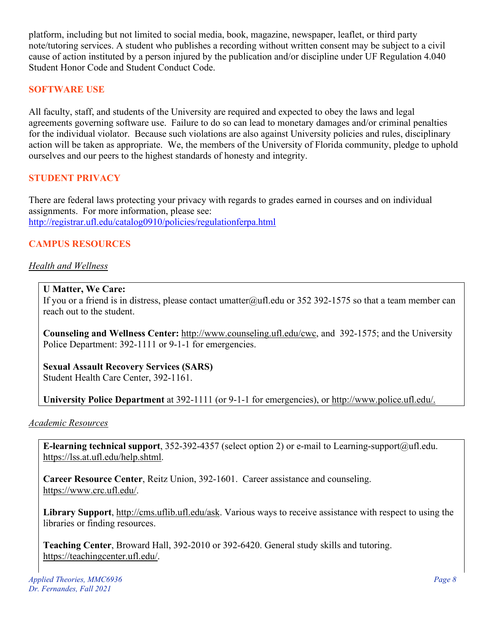platform, including but not limited to social media, book, magazine, newspaper, leaflet, or third party note/tutoring services. A student who publishes a recording without written consent may be subject to a civil cause of action instituted by a person injured by the publication and/or discipline under UF Regulation 4.040 Student Honor Code and Student Conduct Code.

#### **SOFTWARE USE**

All faculty, staff, and students of the University are required and expected to obey the laws and legal agreements governing software use. Failure to do so can lead to monetary damages and/or criminal penalties for the individual violator. Because such violations are also against University policies and rules, disciplinary action will be taken as appropriate. We, the members of the University of Florida community, pledge to uphold ourselves and our peers to the highest standards of honesty and integrity.

### **STUDENT PRIVACY**

There are federal laws protecting your privacy with regards to grades earned in courses and on individual assignments. For more information, please see: <http://registrar.ufl.edu/catalog0910/policies/regulationferpa.html>

#### **CAMPUS RESOURCES**

#### *Health and Wellness*

#### **U Matter, We Care:**

If you or a friend is in distress, please contact umatter@ufl.edu or 352 392-1575 so that a team member can reach out to the student.

**Counseling and Wellness Center:** [http://www.counseling.ufl.edu/cwc,](http://www.counseling.ufl.edu/cwc) and 392-1575; and the University Police Department: 392-1111 or 9-1-1 for emergencies.

**Sexual Assault Recovery Services (SARS)**  Student Health Care Center, 392-1161.

**University Police Department** at 392-1111 (or 9-1-1 for emergencies), or [http://www.police.ufl.edu/.](http://www.police.ufl.edu/)

#### *Academic Resources*

**E-learning technical support**, 352-392-4357 (select option 2) or e-mail to Learning-support@ufl.edu. [https://lss.at.ufl.edu/help.shtml.](https://lss.at.ufl.edu/help.shtml)

**Career Resource Center**, Reitz Union, 392-1601. Career assistance and counseling. [https://www.crc.ufl.edu/.](https://www.crc.ufl.edu/)

**Library Support**, [http://cms.uflib.ufl.edu/ask.](http://cms.uflib.ufl.edu/ask) Various ways to receive assistance with respect to using the libraries or finding resources.

**Teaching Center**, Broward Hall, 392-2010 or 392-6420. General study skills and tutoring. [https://teachingcenter.ufl.edu/.](https://teachingcenter.ufl.edu/)